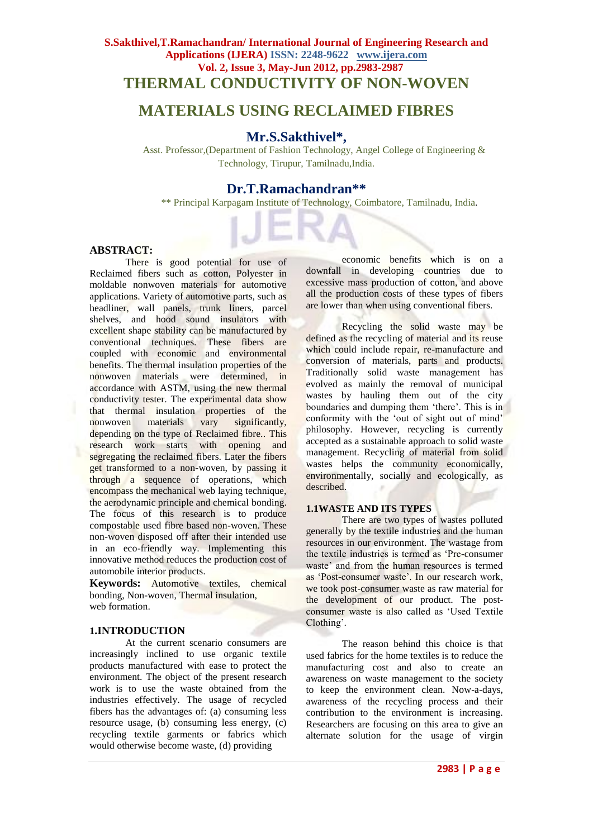# **MATERIALS USING RECLAIMED FIBRES**

## **Mr.S.Sakthivel\*,**

Asst. Professor,(Department of Fashion Technology, Angel College of Engineering & Technology, Tirupur, Tamilnadu,India.

## **Dr.T.Ramachandran\*\***

\*\* Principal Karpagam Institute of Technology, Coimbatore, Tamilnadu, India.

## **ABSTRACT:**

There is good potential for use of Reclaimed fibers such as cotton, Polyester in moldable nonwoven materials for automotive applications. Variety of automotive parts, such as headliner, wall panels, trunk liners, parcel shelves, and hood sound insulators with excellent shape stability can be manufactured by conventional techniques. These fibers are coupled with economic and environmental benefits. The thermal insulation properties of the nonwoven materials were determined, in accordance with ASTM, using the new thermal conductivity tester. The experimental data show that thermal insulation properties of the nonwoven materials vary significantly, depending on the type of Reclaimed fibre.. This research work starts with opening and segregating the reclaimed fibers. Later the fibers get transformed to a non-woven, by passing it through a sequence of operations, which encompass the mechanical web laying technique, the aerodynamic principle and chemical bonding. The focus of this research is to produce compostable used fibre based non-woven. These non-woven disposed off after their intended use in an eco-friendly way. Implementing this innovative method reduces the production cost of automobile interior products.

**Keywords:** Automotive textiles, chemical bonding, Non-woven, Thermal insulation, web formation

### **1.INTRODUCTION**

At the current scenario consumers are increasingly inclined to use organic textile products manufactured with ease to protect the environment. The object of the present research work is to use the waste obtained from the industries effectively. The usage of recycled fibers has the advantages of: (a) consuming less resource usage, (b) consuming less energy, (c) recycling textile garments or fabrics which would otherwise become waste, (d) providing

economic benefits which is on a downfall in developing countries due to excessive mass production of cotton, and above all the production costs of these types of fibers are lower than when using conventional fibers.

Recycling the solid waste may be defined as the recycling of material and its reuse which could include repair, re-manufacture and conversion of materials, parts and products. Traditionally solid waste management has evolved as mainly the removal of municipal wastes by hauling them out of the city boundaries and dumping them "there". This is in conformity with the 'out of sight out of mind' philosophy. However, recycling is currently accepted as a sustainable approach to solid waste management. Recycling of material from solid wastes helps the community economically, environmentally, socially and ecologically, as described.

### **1.1WASTE AND ITS TYPES**

There are two types of wastes polluted generally by the textile industries and the human resources in our environment. The wastage from the textile industries is termed as "Pre-consumer waste' and from the human resources is termed as 'Post-consumer waste'. In our research work, we took post-consumer waste as raw material for the development of our product. The postconsumer waste is also called as "Used Textile Clothing'.

The reason behind this choice is that used fabrics for the home textiles is to reduce the manufacturing cost and also to create an awareness on waste management to the society to keep the environment clean. Now-a-days, awareness of the recycling process and their contribution to the environment is increasing. Researchers are focusing on this area to give an alternate solution for the usage of virgin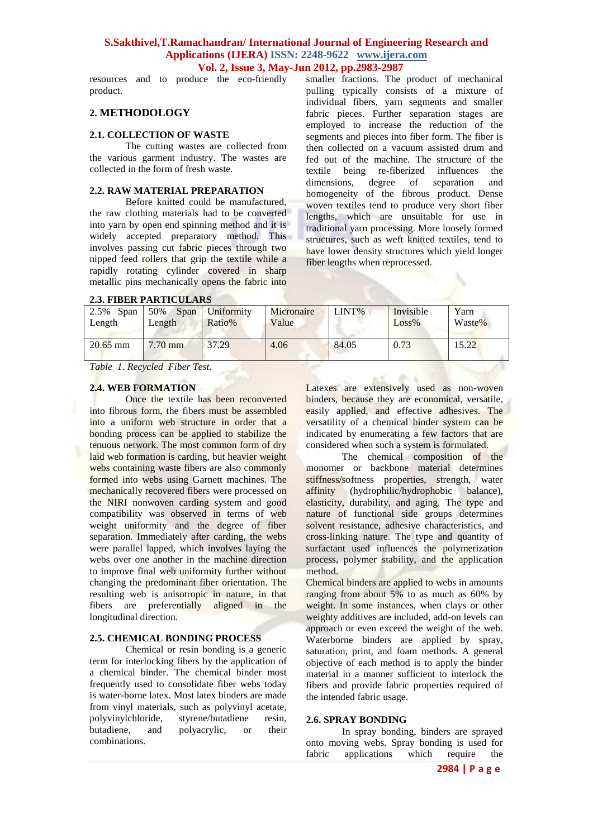resources and to produce the eco-friendly product.

## **2. METHODOLOGY**

#### **2.1. COLLECTION OF WASTE**

The cutting wastes are collected from the various garment industry. The wastes are collected in the form of fresh waste.

## **2.2. RAW MATERIAL PREPARATION**

Before knitted could be manufactured, the raw clothing materials had to be converted into yarn by open end spinning method and it is widely accepted preparatory method. This involves passing cut fabric pieces through two nipped feed rollers that grip the textile while a rapidly rotating cylinder covered in sharp metallic pins mechanically opens the fabric into

smaller fractions. The product of mechanical pulling typically consists of a mixture of individual fibers, yarn segments and smaller fabric pieces. Further separation stages are employed to increase the reduction of the segments and pieces into fiber form. The fiber is then collected on a vacuum assisted drum and fed out of the machine. The structure of the textile being re-fiberized influences the dimensions, degree of separation and homogeneity of the fibrous product. Dense woven textiles tend to produce very short fiber lengths, which are unsuitable for use in traditional yarn processing. More loosely formed structures, such as weft knitted textiles, tend to have lower density structures which yield longer fiber lengths when reprocessed.

| <i><b>2.5. FIBER FARTICULARS</b></i>              |                       |                      |                     |       |                       |                |  |
|---------------------------------------------------|-----------------------|----------------------|---------------------|-------|-----------------------|----------------|--|
| $2.5\%$ Span<br>Length                            | 50%<br>Span<br>Length | Uniformity<br>Ratio% | Micronaire<br>Value | LINT% | Invisible<br>$Loss\%$ | Yarn<br>Waste% |  |
| $20.65$ mm                                        | $7.70$ mm             | 37.29                | 4.06                | 84.05 | 0.73                  | 15.22          |  |
| $-1111$<br>$\mathbf{v}$ $\mathbf{v}$ $\mathbf{v}$ |                       |                      |                     |       |                       |                |  |

## **2.3. FIBER PARTICULARS**

*Table 1. Recycled Fiber Test.*

#### **2.4. WEB FORMATION**

Once the textile has been reconverted into fibrous form, the fibers must be assembled into a uniform web structure in order that a bonding process can be applied to stabilize the tenuous network. The most common form of dry laid web formation is carding, but heavier weight webs containing waste fibers are also commonly formed into webs using Garnett machines. The mechanically recovered fibers were processed on the NIRI nonwoven carding system and good compatibility was observed in terms of web weight uniformity and the degree of fiber separation. Immediately after carding, the webs were parallel lapped, which involves laying the webs over one another in the machine direction to improve final web uniformity further without changing the predominant fiber orientation. The resulting web is anisotropic in nature, in that fibers are preferentially aligned in the longitudinal direction.

## **2.5. CHEMICAL BONDING PROCESS**

Chemical or resin bonding is a generic term for interlocking fibers by the application of a chemical binder. The chemical binder most frequently used to consolidate fiber webs today is water-borne latex. Most latex binders are made from vinyl materials, such as polyvinyl acetate, polyvinylchloride, styrene/butadiene resin, butadiene, and polyacrylic, or their combinations.

Latexes are extensively used as non-woven binders, because they are economical, versatile, easily applied, and effective adhesives. The versatility of a chemical binder system can be indicated by enumerating a few factors that are considered when such a system is formulated.

The chemical composition of the monomer or backbone material determines stiffness/softness properties, strength, water affinity (hydrophilic/hydrophobic balance), elasticity, durability, and aging. The type and nature of functional side groups determines solvent resistance, adhesive characteristics, and cross-linking nature. The type and quantity of surfactant used influences the polymerization process, polymer stability, and the application method.

Chemical binders are applied to webs in amounts ranging from about 5% to as much as 60% by weight. In some instances, when clays or other weighty additives are included, add-on levels can approach or even exceed the weight of the web. Waterborne binders are applied by spray, saturation, print, and foam methods. A general objective of each method is to apply the binder material in a manner sufficient to interlock the fibers and provide fabric properties required of the intended fabric usage.

#### **2.6. SPRAY BONDING**

In spray bonding, binders are sprayed onto moving webs. Spray bonding is used for fabric applications which require the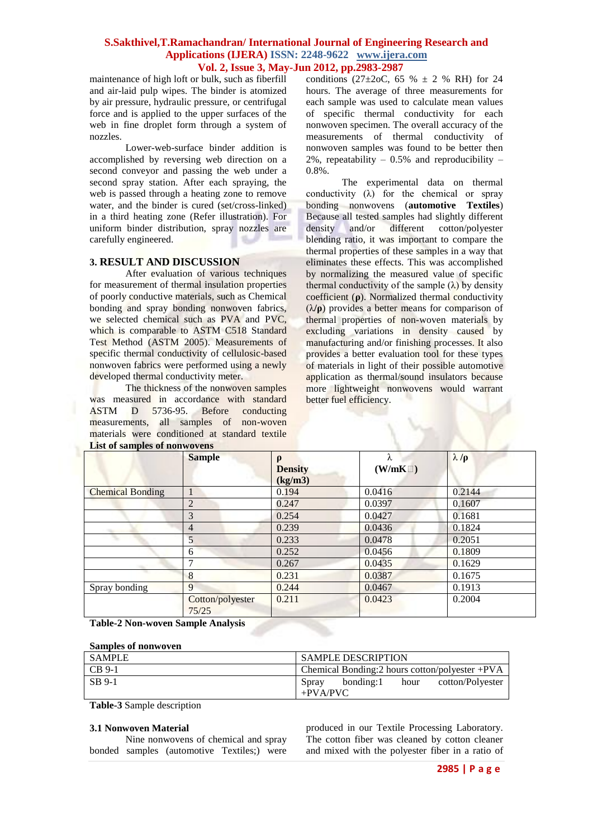maintenance of high loft or bulk, such as fiberfill and air-laid pulp wipes. The binder is atomized by air pressure, hydraulic pressure, or centrifugal force and is applied to the upper surfaces of the web in fine droplet form through a system of nozzles.

Lower-web-surface binder addition is accomplished by reversing web direction on a second conveyor and passing the web under a second spray station. After each spraying, the web is passed through a heating zone to remove water, and the binder is cured (set/cross-linked) in a third heating zone (Refer illustration). For uniform binder distribution, spray nozzles are carefully engineered.

### **3. RESULT AND DISCUSSION**

After evaluation of various techniques for measurement of thermal insulation properties of poorly conductive materials, such as Chemical bonding and spray bonding nonwoven fabrics, we selected chemical such as PVA and PVC, which is comparable to ASTM C518 Standard Test Method (ASTM 2005). Measurements of specific thermal conductivity of cellulosic-based nonwoven fabrics were performed using a newly developed thermal conductivity meter.

The thickness of the nonwoven samples was measured in accordance with standard ASTM D 5736-95. Before conducting measurements, all samples of non-woven materials were conditioned at standard textile **List of samples of nonwovens**

conditions (27 $\pm$ 2oC, 65 %  $\pm$  2 % RH) for 24 hours. The average of three measurements for each sample was used to calculate mean values of specific thermal conductivity for each nonwoven specimen. The overall accuracy of the measurements of thermal conductivity of nonwoven samples was found to be better then 2%, repeatability –  $0.5\%$  and reproducibility – 0.8%.

The experimental data on thermal conductivity  $(\lambda)$  for the chemical or spray bonding nonwovens (**automotive Textiles**) Because all tested samples had slightly different density and/or different cotton/polyester blending ratio, it was important to compare the thermal properties of these samples in a way that eliminates these effects. This was accomplished by normalizing the measured value of specific thermal conductivity of the sample  $(\lambda)$  by density coefficient (**ρ**). Normalized thermal conductivity (λ**/ρ**) provides a better means for comparison of thermal properties of non-woven materials by excluding variations in density caused by manufacturing and/or finishing processes. It also provides a better evaluation tool for these types of materials in light of their possible automotive application as thermal/sound insulators because more lightweight nonwovens would warrant better fuel efficiency.

|                         | <b>Sample</b>             | $\rho$<br><b>Density</b><br>(kg/m3) | λ<br>(W/mK) | $\lambda/\rho$ |
|-------------------------|---------------------------|-------------------------------------|-------------|----------------|
| <b>Chemical Bonding</b> |                           | 0.194                               | 0.0416      | 0.2144         |
|                         | $\overline{2}$            | 0.247                               | 0.0397      | 0.1607         |
|                         | 3                         | 0.254                               | 0.0427      | 0.1681         |
|                         | $\overline{4}$            | 0.239                               | 0.0436      | 0.1824         |
|                         | 5                         | 0.233                               | 0.0478      | 0.2051         |
|                         | 6                         | 0.252                               | 0.0456      | 0.1809         |
|                         | 7                         | 0.267                               | 0.0435      | 0.1629         |
|                         | 8                         | 0.231                               | 0.0387      | 0.1675         |
| Spray bonding           | 9                         | 0.244                               | 0.0467      | 0.1913         |
|                         | Cotton/polyester<br>75/25 | 0.211                               | 0.0423      | 0.2004         |

**Table-2 Non-woven Sample Analysis**

## **Samples of nonwoven**

| I SAMPLE            | <b>SAMPLE DESCRIPTION</b>                                            |  |  |
|---------------------|----------------------------------------------------------------------|--|--|
| $\overline{CB}$ 9-1 | Chemical Bonding: $2$ hours cotton/polyester +PVA                    |  |  |
| <b>SB</b> 9-1       | bonding:1<br>cotton/Polyester<br><b>Spray</b><br>hour<br>$+$ PVA/PVC |  |  |

**Table-3** Sample description

#### **3.1 Nonwoven Material**

Nine nonwovens of chemical and spray bonded samples (automotive Textiles;) were

produced in our Textile Processing Laboratory. The cotton fiber was cleaned by cotton cleaner and mixed with the polyester fiber in a ratio of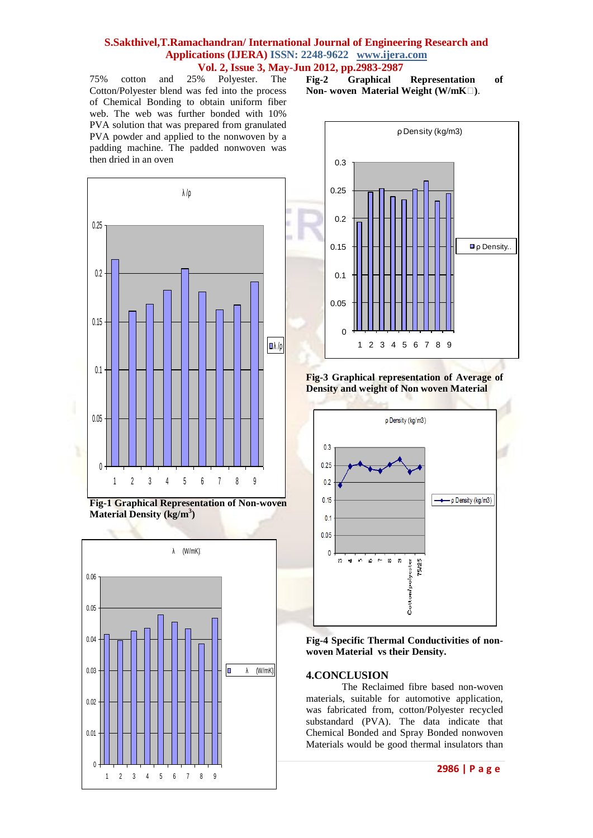75% cotton and 25% Polyester. The Cotton/Polyester blend was fed into the process of Chemical Bonding to obtain uniform fiber web. The web was further bonded with 10% PVA solution that was prepared from granulated PVA powder and applied to the nonwoven by a padding machine. The padded nonwoven was then dried in an oven

**Fig-2 Graphical Representation of Non- woven Material Weight (W/mK)**.









**Fig-3 Graphical representation of Average of Density and weight of Non woven Material**



**Fig-4 Specific Thermal Conductivities of nonwoven Material vs their Density.**

### **4.CONCLUSION**

The Reclaimed fibre based non-woven materials, suitable for automotive application, was fabricated from, cotton/Polyester recycled substandard (PVA). The data indicate that Chemical Bonded and Spray Bonded nonwoven Materials would be good thermal insulators than